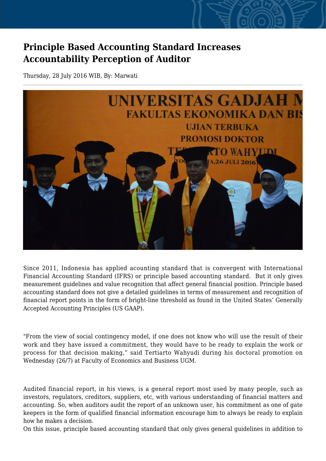## **Principle Based Accounting Standard Increases Accountability Perception of Auditor**

Thursday, 28 July 2016 WIB, By: Marwati



Since 2011, Indonesia has applied acounting standard that is convergent with International Financial Accounting Standard (IFRS) or principle based accounting standard. But it only gives measurement guidelines and value recognition that affect general financial position. Principle based accounting standard does not give a detailed guidelines in terms of measurement and recognition of financial report points in the form of bright-line threshold as found in the United States' Generally Accepted Accounting Principles (US GAAP).

"From the view of social contingency model, if one does not know who will use the result of their work and they have issued a commitment, they would have to be ready to explain the work or process for that decision making," said Tertiarto Wahyudi during his doctoral promotion on Wednesday (26/7) at Faculty of Economics and Business UGM.

Audited financial report, in his views, is a general report most used by many people, such as investors, regulators, creditors, suppliers, etc, with various understanding of financial matters and accounting. So, when auditors audit the report of an unknown user, his commitment as one of gate keepers in the form of qualified financial information encourage him to always be ready to explain how he makes a decision.

On this issue, principle based accounting standard that only gives general guidelines in addition to